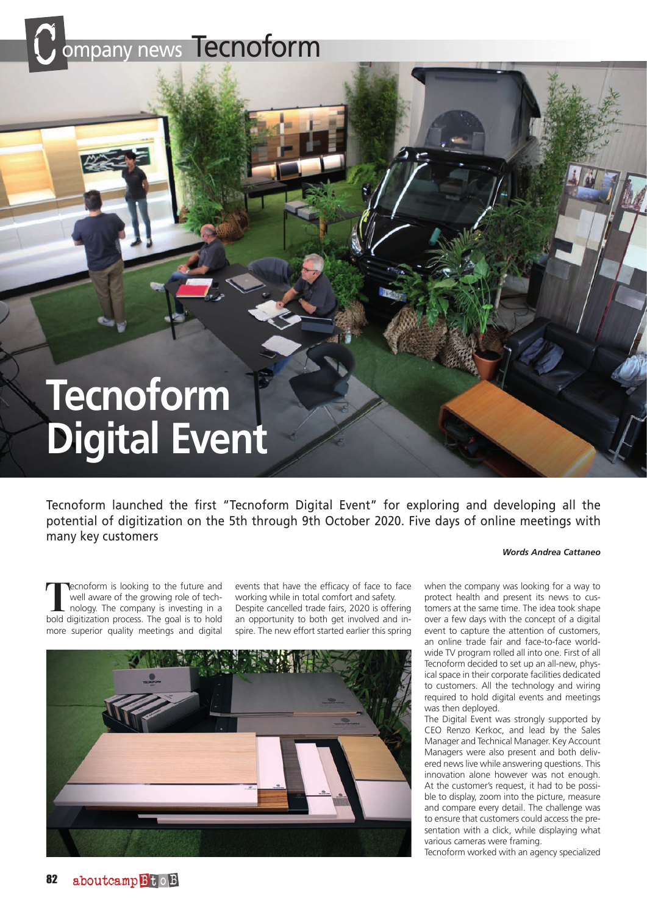## mpany news Tecnoform

# **Tecnoform Digital Event**

Tecnoform launched the first "Tecnoform Digital Event" for exploring and developing all the potential of digitization on the 5th through 9th October 2020. Five days of online meetings with many key customers

**T**ecnoform is looking to the future and<br>
well aware of the growing role of tech-<br>
nology. The company is investing in a<br>
hold digitization process. The goal is to hold well aware of the growing role of techbold digitization process. The goal is to hold more superior quality meetings and digital

events that have the efficacy of face to face working while in total comfort and safety. Despite cancelled trade fairs, 2020 is offering an opportunity to both get involved and inspire. The new effort started earlier this spring



when the company was looking for a way to protect health and present its news to customers at the same time. The idea took shape over a few days with the concept of a digital event to capture the attention of customers, an online trade fair and face-to-face worldwide TV program rolled all into one. First of all Tecnoform decided to set up an all-new, physical space in their corporate facilities dedicated to customers. All the technology and wiring required to hold digital events and meetings was then deployed.

*Words Andrea Cattaneo*

The Digital Event was strongly supported by CEO Renzo Kerkoc, and lead by the Sales Manager and Technical Manager. Key Account Managers were also present and both delivered news live while answering questions. This innovation alone however was not enough. At the customer's request, it had to be possible to display, zoom into the picture, measure and compare every detail. The challenge was to ensure that customers could access the presentation with a click, while displaying what various cameras were framing.

Tecnoform worked with an agency specialized